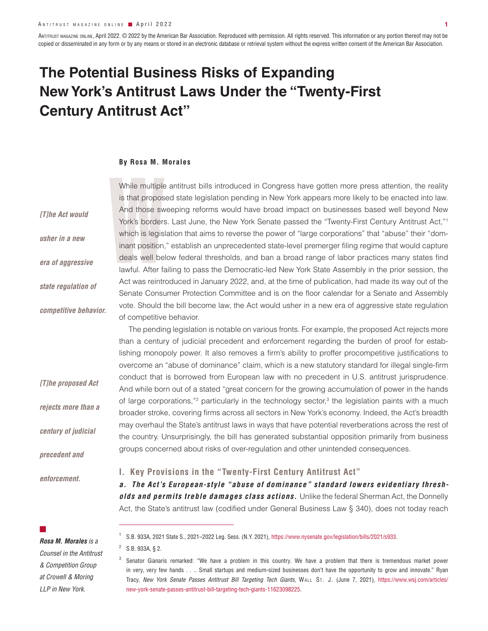ANTITRUST MAGAZINE ONLINE, April 2022. © 2022 by the American Bar Association. Reproduced with permission. All rights reserved. This information or any portion thereof may not be copied or disseminated in any form or by any means or stored in an electronic database or retrieval system without the express written consent of the American Bar Association.

# **The Potential Business Risks of Expanding New York's Antitrust Laws Under the "Twenty-First Century Antitrust Act"**

#### **By Rosa M. Morales**

While multiple<br>is that propos<br>And those sw<br>York's borders<br>which is legisl<br>inant position,<br>deals well be<br>lawful. After fa<br>Act was reintr While multiple antitrust bills introduced in Congress have gotten more press attention, the reality is that proposed state legislation pending in New York appears more likely to be enacted into law. And those sweeping reforms would have broad impact on businesses based well beyond New York's borders. Last June, the New York Senate passed the "Twenty-First Century Antitrust Act,"1 which is legislation that aims to reverse the power of "large corporations" that "abuse" their "dominant position," establish an unprecedented state-level premerger filing regime that would capture deals well below federal thresholds, and ban a broad range of labor practices many states find lawful. After failing to pass the Democratic-led New York State Assembly in the prior session, the Act was reintroduced in January 2022, and, at the time of publication, had made its way out of the Senate Consumer Protection Committee and is on the floor calendar for a Senate and Assembly vote. Should the bill become law, the Act would usher in a new era of aggressive state regulation of competitive behavior. *[T]he Act would usher in a new era of aggressive state regulation of competitive behavior.*

> The pending legislation is notable on various fronts. For example, the proposed Act rejects more than a century of judicial precedent and enforcement regarding the burden of proof for establishing monopoly power. It also removes a firm's ability to proffer procompetitive justifications to overcome an "abuse of dominance" claim, which is a new statutory standard for illegal single-firm conduct that is borrowed from European law with no precedent in U.S. antitrust jurisprudence. And while born out of a stated "great concern for the growing accumulation of power in the hands of large corporations,"<sup>2</sup> particularly in the technology sector,<sup>3</sup> the legislation paints with a much broader stroke, covering firms across all sectors in New York's economy. Indeed, the Act's breadth may overhaul the State's antitrust laws in ways that have potential reverberations across the rest of the country. Unsurprisingly, the bill has generated substantial opposition primarily from business groups concerned about risks of over-regulation and other unintended consequences.

## *enforcement.*

*[T]he proposed Act* 

*rejects more than a* 

*century of judicial* 

*precedent and* 

## **I. Key Provisions in the "Twenty-First Century Antitrust Act"**

*a. The Act's European-style "abuse of dominance" standard lowers evidentiary thresholds and permits treble damages class actions.* Unlike the federal Sherman Act, the Donnelly Act, the State's antitrust law (codified under General Business Law § 340), does not today reach

■

*Rosa M. Morales is a Counsel in the Antitrust & Competition Group at Crowell & Moring LLP in New York.* 

<sup>1</sup> S.B. 933A, 2021 State S., 2021–2022 Leg. Sess. (N.Y. 2021), https://www.nysenate.gov/legislation/bills/2021/s933.

<sup>2</sup> S.B. 933A, § 2.

Senator Gianaris remarked: "We have a problem in this country. We have a problem that there is tremendous market power in very, very few hands . . .. Small startups and medium-sized businesses don't have the opportunity to grow and innovate." Ryan Tracy, New York Senate Passes Antitrust Bill Targeting Tech Giants, WALL ST. J. (June 7, 2021), https://www.wsj.com/articles/ new-york-senate-passes-antitrust-bill-targeting-tech-giants-11623098225.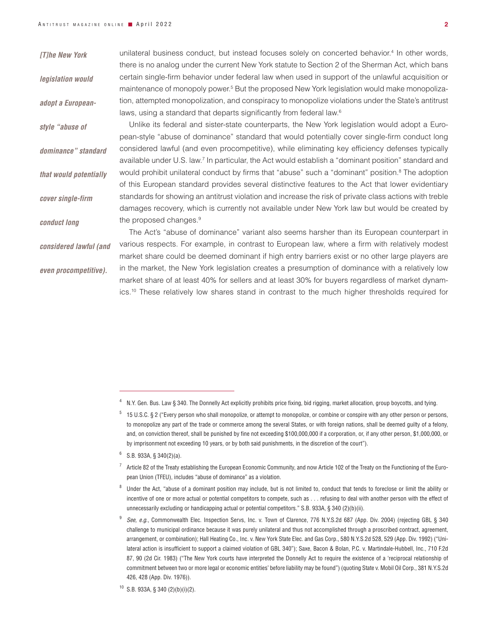| [T]he New York         | unilateral business conduct, but instead focuses solely on concerted behavior. <sup>4</sup> In other words,                                                                                                                                                                                                         |
|------------------------|---------------------------------------------------------------------------------------------------------------------------------------------------------------------------------------------------------------------------------------------------------------------------------------------------------------------|
| legislation would      | there is no analog under the current New York statute to Section 2 of the Sherman Act, which bans<br>certain single-firm behavior under federal law when used in support of the unlawful acquisition or<br>maintenance of monopoly power. <sup>5</sup> But the proposed New York legislation would make monopoliza- |
| adopt a European-      | tion, attempted monopolization, and conspiracy to monopolize violations under the State's antitrust                                                                                                                                                                                                                 |
|                        | laws, using a standard that departs significantly from federal law. <sup>6</sup>                                                                                                                                                                                                                                    |
| style "abuse of        | Unlike its federal and sister-state counterparts, the New York legislation would adopt a Euro-                                                                                                                                                                                                                      |
|                        | pean-style "abuse of dominance" standard that would potentially cover single-firm conduct long                                                                                                                                                                                                                      |
| dominance" standard    | considered lawful (and even procompetitive), while eliminating key efficiency defenses typically                                                                                                                                                                                                                    |
|                        | available under U.S. law. <sup>7</sup> In particular, the Act would establish a "dominant position" standard and                                                                                                                                                                                                    |
| that would potentially | would prohibit unilateral conduct by firms that "abuse" such a "dominant" position. <sup>8</sup> The adoption                                                                                                                                                                                                       |
|                        | of this European standard provides several distinctive features to the Act that lower evidentiary                                                                                                                                                                                                                   |
| cover single-firm      | standards for showing an antitrust violation and increase the risk of private class actions with treble                                                                                                                                                                                                             |
|                        | damages recovery, which is currently not available under New York law but would be created by                                                                                                                                                                                                                       |
| conduct long           | the proposed changes. <sup>9</sup>                                                                                                                                                                                                                                                                                  |
|                        | The Act's "abuse of dominance" variant also seems harsher than its European counterpart in                                                                                                                                                                                                                          |
| considered lawful (and | various respects. For example, in contrast to European law, where a firm with relatively modest                                                                                                                                                                                                                     |
|                        | market share could be deemed dominant if high entry barriers exist or no other large players are                                                                                                                                                                                                                    |
| even procompetitive).  | in the market, the New York legislation creates a presumption of dominance with a relatively low                                                                                                                                                                                                                    |
|                        | market share of at least 40% for sellers and at least 30% for buyers regardless of market dynam-                                                                                                                                                                                                                    |
|                        | ics. <sup>10</sup> These relatively low shares stand in contrast to the much higher thresholds required for                                                                                                                                                                                                         |

 $6$  S.B. 933A, § 340(2)(a).

<sup>&</sup>lt;sup>4</sup> N.Y. Gen. Bus. Law § 340. The Donnelly Act explicitly prohibits price fixing, bid rigging, market allocation, group boycotts, and tying.

<sup>5</sup> 15 U.S.C. § 2 ("Every person who shall monopolize, or attempt to monopolize, or combine or conspire with any other person or persons, to monopolize any part of the trade or commerce among the several States, or with foreign nations, shall be deemed guilty of a felony, and, on conviction thereof, shall be punished by fine not exceeding \$100,000,000 if a corporation, or, if any other person, \$1,000,000, or by imprisonment not exceeding 10 years, or by both said punishments, in the discretion of the court").

 $7$  Article 82 of the Treaty establishing the European Economic Community, and now Article 102 of the Treaty on the Functioning of the European Union (TFEU), includes "abuse of dominance" as a violation.

<sup>&</sup>lt;sup>8</sup> Under the Act, "abuse of a dominant position may include, but is not limited to, conduct that tends to foreclose or limit the ability or incentive of one or more actual or potential competitors to compete, such as . . . refusing to deal with another person with the effect of unnecessarily excluding or handicapping actual or potential competitors." S.B. 933A, § 340 (2)(b)(ii).

<sup>9</sup> *See, e.g*., Commonwealth Elec. Inspection Servs, Inc. v. Town of Clarence, 776 N.Y.S.2d 687 (App. Div. 2004) (rejecting GBL § 340 challenge to municipal ordinance because it was purely unilateral and thus not accomplished through a proscribed contract, agreement, arrangement, or combination); Hall Heating Co., Inc. v. New York State Elec. and Gas Corp., 580 N.Y.S.2d 528, 529 (App. Div. 1992) ("Unilateral action is insufficient to support a claimed violation of GBL 340"); Saxe, Bacon & Bolan, P.C. v. Martindale-Hubbell, Inc., 710 F.2d 87, 90 (2d Cir. 1983) ("The New York courts have interpreted the Donnelly Act to require the existence of a 'reciprocal relationship of commitment between two or more legal or economic entities' before liability may be found") (quoting State v. Mobil Oil Corp., 381 N.Y.S.2d 426, 428 (App. Div. 1976)).

 $10$  S.B. 933A, § 340 (2)(b)(i)(2).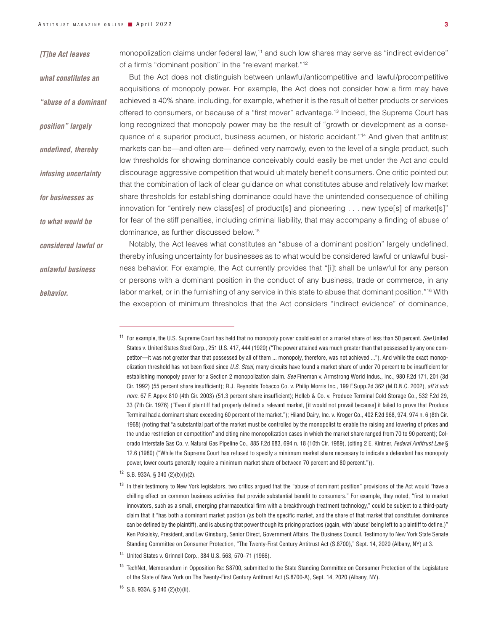#### *[T]he Act leaves*

*what constitutes an* 

*position" largely* 

*undefined, thereby* 

*infusing uncertainty* 

*for businesses as* 

*to what would be* 

*unlawful business* 

*behavior.*

monopolization claims under federal law,<sup>11</sup> and such low shares may serve as "indirect evidence" of a firm's "dominant position" in the "relevant market."12

But the Act does not distinguish between unlawful/anticompetitive and lawful/procompetitive acquisitions of monopoly power. For example, the Act does not consider how a firm may have achieved a 40% share, including, for example, whether it is the result of better products or services offered to consumers, or because of a "first mover" advantage.13 Indeed, the Supreme Court has long recognized that monopoly power may be the result of "growth or development as a consequence of a superior product, business acumen, or historic accident."14 And given that antitrust markets can be—and often are— defined very narrowly, even to the level of a single product, such low thresholds for showing dominance conceivably could easily be met under the Act and could discourage aggressive competition that would ultimately benefit consumers. One critic pointed out that the combination of lack of clear guidance on what constitutes abuse and relatively low market share thresholds for establishing dominance could have the unintended consequence of chilling innovation for "entirely new class[es] of product[s] and pioneering . . . new type[s] of market[s]" for fear of the stiff penalties, including criminal liability, that may accompany a finding of abuse of dominance, as further discussed below.15 *"abuse of a dominant* 

Notably, the Act leaves what constitutes an "abuse of a dominant position" largely undefined, thereby infusing uncertainty for businesses as to what would be considered lawful or unlawful business behavior. For example, the Act currently provides that "[i]t shall be unlawful for any person or persons with a dominant position in the conduct of any business, trade or commerce, in any labor market, or in the furnishing of any service in this state to abuse that dominant position."16 With the exception of minimum thresholds that the Act considers "indirect evidence" of dominance, *considered lawful or* 

 $12$  S.B. 933A, § 340 (2)(b)(i)(2).

<sup>11</sup> For example, the U.S. Supreme Court has held that no monopoly power could exist on a market share of less than 50 percent. *See* United States v. United States Steel Corp.*,* 251 U.S. 417, 444 (1920) ("The power attained was much greater than that possessed by any one competitor—it was not greater than that possessed by all of them ... monopoly, therefore, was not achieved ..."). And while the exact monopolization threshold has not been fixed since *U.S. Steel*, many circuits have found a market share of under 70 percent to be insufficient for establishing monopoly power for a Section 2 monopolization claim. *See* Fineman v. Armstrong World Indus., Inc.*,* 980 F.2d 171, 201 (3d Cir. 1992) (55 percent share insufficient); R.J. Reynolds Tobacco Co. v. Philip Morris Inc.*,* 199 F.Supp.2d 362 (M.D.N.C. 2002), *aff'd sub nom.* 67 F. App›x 810 (4th Cir. 2003) (51.3 percent share insufficient); Holleb & Co. v. Produce Terminal Cold Storage Co*.,* 532 F.2d 29, 33 (7th Cir. 1976) ("Even if plaintiff had properly defined a relevant market, [it would not prevail because] it failed to prove that Produce Terminal had a dominant share exceeding 60 percent of the market."); Hiland Dairy, Inc. v. Kroger Co*.,* 402 F.2d 968, 974, 974 n. 6 (8th Cir. 1968) (noting that "a substantial part of the market must be controlled by the monopolist to enable the raising and lowering of prices and the undue restriction on competition" and citing nine monopolization cases in which the market share ranged from 70 to 90 percent); Colorado Interstate Gas Co. v. Natural Gas Pipeline Co.*,* 885 F.2d 683, 694 n. 18 (10th Cir. 1989), (citing 2 E. Kintner, *Federal Antitrust Law* § 12.6 (1980) ("While the Supreme Court has refused to specify a minimum market share necessary to indicate a defendant has monopoly power, lower courts generally require a minimum market share of between 70 percent and 80 percent.")).

<sup>&</sup>lt;sup>13</sup> In their testimony to New York legislators, two critics argued that the "abuse of dominant position" provisions of the Act would "have a chilling effect on common business activities that provide substantial benefit to consumers." For example, they noted, "first to market innovators, such as a small, emerging pharmaceutical firm with a breakthrough treatment technology," could be subject to a third-party claim that it "has both a dominant market position (as both the specific market, and the share of that market that constitutes dominance can be defined by the plaintiff), and is abusing that power though its pricing practices (again, with 'abuse' being left to a plaintiff to define.)" Ken Pokalsky, President, and Lev Ginsburg, Senior Direct, Government Affairs, The Business Council, Testimony to New York State Senate Standing Committee on Consumer Protection, "The Twenty-First Century Antitrust Act (S.8700)," Sept. 14, 2020 (Albany, NY) at 3.

<sup>14</sup> United States v. Grinnell Corp., 384 U.S. 563, 570–71 (1966).

<sup>&</sup>lt;sup>15</sup> TechNet, Memorandum in Opposition Re: S8700, submitted to the State Standing Committee on Consumer Protection of the Legislature of the State of New York on The Twenty-First Century Antitrust Act (S.8700-A), Sept. 14, 2020 (Albany, NY).

<sup>16</sup> S.B. 933A, § 340 (2)(b)(ii).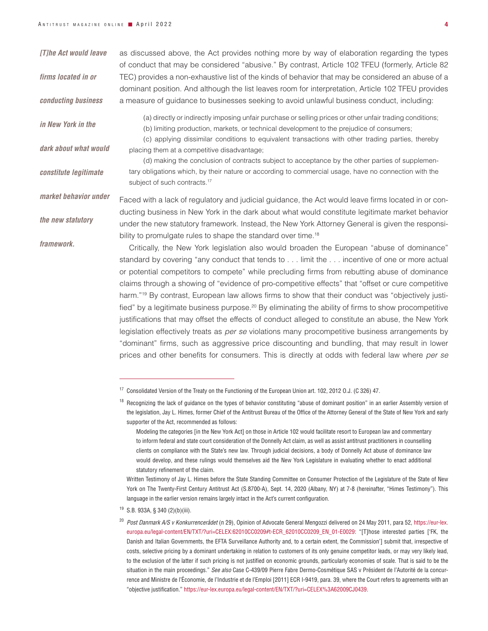| [T]he Act would leave | as discussed above, the Act provides nothing more by way of elaboration regarding the types<br>of conduct that may be considered "abusive." By contrast, Article 102 TFEU (formerly, Article 82                                                      |  |
|-----------------------|------------------------------------------------------------------------------------------------------------------------------------------------------------------------------------------------------------------------------------------------------|--|
| firms located in or   | TEC) provides a non-exhaustive list of the kinds of behavior that may be considered an abuse of a<br>dominant position. And although the list leaves room for interpretation, Article 102 TFEU provides                                              |  |
| conducting business   | a measure of guidance to businesses seeking to avoid unlawful business conduct, including:                                                                                                                                                           |  |
| in New York in the    | (a) directly or indirectly imposing unfair purchase or selling prices or other unfair trading conditions;<br>(b) limiting production, markets, or technical development to the prejudice of consumers;                                               |  |
| dark about what would | (c) applying dissimilar conditions to equivalent transactions with other trading parties, thereby<br>placing them at a competitive disadvantage;                                                                                                     |  |
| constitute legitimate | (d) making the conclusion of contracts subject to acceptance by the other parties of supplemen-<br>tary obligations which, by their nature or according to commercial usage, have no connection with the<br>subject of such contracts. <sup>17</sup> |  |
| market behavior under | Faced with a lack of regulatory and judicial guidance, the Act would leave firms located in or con-                                                                                                                                                  |  |
| the new statutory     | ducting business in New York in the dark about what would constitute legitimate market behavior                                                                                                                                                      |  |
|                       | under the new statutory framework. Instead, the New York Attorney General is given the responsi-                                                                                                                                                     |  |
| framework.            | bility to promulgate rules to shape the standard over time. <sup>18</sup>                                                                                                                                                                            |  |
|                       | Critically, the New York legislation also would broaden the European "abuse of dominance"                                                                                                                                                            |  |
|                       | standard by covering "any conduct that tends to limit the incentive of one or more actual                                                                                                                                                            |  |
|                       | or potential competitors to compete" while precluding firms from rebutting abuse of dominance                                                                                                                                                        |  |
|                       | claims through a showing of "evidence of pro-competitive effects" that "offset or cure competitive                                                                                                                                                   |  |
|                       | harm." <sup>19</sup> By contrast, European law allows firms to show that their conduct was "objectively justi-                                                                                                                                       |  |
|                       | fied" by a legitimate business purpose. <sup>20</sup> By eliminating the ability of firms to show procompetitive                                                                                                                                     |  |
|                       | justifications that may offset the effects of conduct alleged to constitute an abuse, the New York                                                                                                                                                   |  |
|                       | legislation effectively treats as <i>per se</i> violations many procompetitive business arrangements by                                                                                                                                              |  |
|                       | "dominant" firms, such as aggressive price discounting and bundling, that may result in lower                                                                                                                                                        |  |

prices and other benefits for consumers. This is directly at odds with federal law where *per se*

<sup>17</sup> Consolidated Version of the Treaty on the Functioning of the European Union art. 102, 2012 O.J. (C 326) 47.

<sup>&</sup>lt;sup>18</sup> Recognizing the lack of guidance on the types of behavior constituting "abuse of dominant position" in an earlier Assembly version of the legislation, Jay L. Himes, former Chief of the Antitrust Bureau of the Office of the Attorney General of the State of New York and early supporter of the Act, recommended as follows:

Modeling the categories [in the New York Act] on those in Article 102 would facilitate resort to European law and commentary to inform federal and state court consideration of the Donnelly Act claim, as well as assist antitrust practitioners in counselling clients on compliance with the State's new law. Through judicial decisions, a body of Donnelly Act abuse of dominance law would develop, and these rulings would themselves aid the New York Legislature in evaluating whether to enact additional statutory refinement of the claim.

Written Testimony of Jay L. Himes before the State Standing Committee on Consumer Protection of the Legislature of the State of New York on The Twenty-First Century Antitrust Act (S.8700-A), Sept. 14, 2020 (Albany, NY) at 7-8 (hereinafter, "Himes Testimony"). This language in the earlier version remains largely intact in the Act's current configuration.

<sup>19</sup> S.B. 933A, § 340 (2)(b)(iii).

<sup>20</sup> *Post Danmark A/S v Konkurrencerådet* (n 29), Opinion of Advocate General Mengozzi delivered on 24 May 2011, para 52, https://eur-lex. europa.eu/legal-content/EN/TXT/?uri=CELEX:62010CC0209#t-ECR\_62010CC0209\_EN\_01-E0029: "[T]hose interested parties ['FK, the Danish and Italian Governments, the EFTA Surveillance Authority and, to a certain extent, the Commission'] submit that, irrespective of costs, selective pricing by a dominant undertaking in relation to customers of its only genuine competitor leads, or may very likely lead, to the exclusion of the latter if such pricing is not justified on economic grounds, particularly economies of scale. That is said to be the situation in the main proceedings." *See also* Case C-439/09 Pierre Fabre Dermo-Cosmétique SAS v Président de l'Autorité de la concurrence and Ministre de l'Économie, de l'Industrie et de l'Emploi [2011] ECR I-9419, para. 39, where the Court refers to agreements with an "objective justification." <https://eur-lex.europa.eu/legal-content/EN/TXT/?uri=CELEX%3A62009CJ0439>.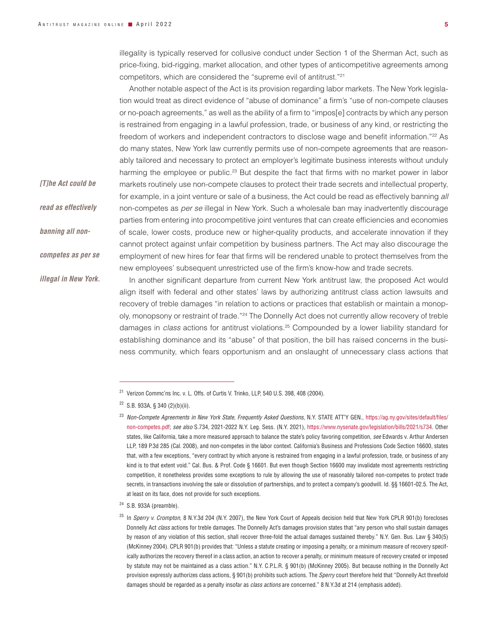*[T]he Act could be* 

*read as effectively* 

*banning all non-*

*competes as per se* 

*illegal in New York.*

illegality is typically reserved for collusive conduct under Section 1 of the Sherman Act, such as price-fixing, bid-rigging, market allocation, and other types of anticompetitive agreements among competitors, which are considered the "supreme evil of antitrust."21

Another notable aspect of the Act is its provision regarding labor markets. The New York legislation would treat as direct evidence of "abuse of dominance" a firm's "use of non-compete clauses or no-poach agreements," as well as the ability of a firm to "impos[e] contracts by which any person is restrained from engaging in a lawful profession, trade, or business of any kind, or restricting the freedom of workers and independent contractors to disclose wage and benefit information."<sup>22</sup> As do many states, New York law currently permits use of non-compete agreements that are reasonably tailored and necessary to protect an employer's legitimate business interests without unduly harming the employee or public.<sup>23</sup> But despite the fact that firms with no market power in labor markets routinely use non-compete clauses to protect their trade secrets and intellectual property, for example, in a joint venture or sale of a business, the Act could be read as effectively banning *all* non-competes as *per se* illegal in New York. Such a wholesale ban may inadvertently discourage parties from entering into procompetitive joint ventures that can create efficiencies and economies of scale, lower costs, produce new or higher-quality products, and accelerate innovation if they cannot protect against unfair competition by business partners. The Act may also discourage the employment of new hires for fear that firms will be rendered unable to protect themselves from the new employees' subsequent unrestricted use of the firm's know-how and trade secrets.

In another significant departure from current New York antitrust law, the proposed Act would align itself with federal and other states' laws by authorizing antitrust class action lawsuits and recovery of treble damages "in relation to actions or practices that establish or maintain a monopoly, monopsony or restraint of trade."24 The Donnelly Act does not currently allow recovery of treble damages in *class* actions for antitrust violations.25 Compounded by a lower liability standard for establishing dominance and its "abuse" of that position, the bill has raised concerns in the business community, which fears opportunism and an onslaught of unnecessary class actions that

<sup>&</sup>lt;sup>21</sup> Verizon Commc'ns Inc. v. L. Offs. of Curtis V. Trinko, LLP, 540 U.S. 398, 408 (2004).

 $22$  S.B. 933A, § 340 (2)(b)(ii).

<sup>23</sup> *Non-Compete Agreements in New York State, Frequently Asked Questions*, N.Y. STATE ATT'Y GEN., [https://ag.ny.gov/sites/default/files/](https://ag.ny.gov/sites/default/files/non-competes.pdf) [non-competes.pdf;](https://ag.ny.gov/sites/default/files/non-competes.pdf) *see also* S.734, 2021-2022 N.Y. Leg. Sess. (N.Y. 2021), <https://www.nysenate.gov/legislation/bills/2021/s734>. Other states, like California, take a more measured approach to balance the state's policy favoring competition, *see* Edwards v. Arthur Andersen LLP, 189 P.3d 285 (Cal. 2008), and non-competes in the labor context. California's Business and Professions Code Section 16600, states that, with a few exceptions, "every contract by which anyone is restrained from engaging in a lawful profession, trade, or business of any kind is to that extent void." Cal. Bus. & Prof. Code § 16601. But even though Section 16600 may invalidate most agreements restricting competition, it nonetheless provides some exceptions to rule by allowing the use of reasonably tailored non-competes to protect trade secrets, in transactions involving the sale or dissolution of partnerships, and to protect a company's goodwill. Id. §§ 16601-02.5. The Act, at least on its face, does not provide for such exceptions.

 $24$  S.B. 933A (preamble).

<sup>25</sup> In *Sperry v. Crompton*, 8 N.Y.3d 204 (N.Y. 2007), the New York Court of Appeals decision held that New York CPLR 901(b) forecloses Donnelly Act *class* actions for treble damages. The Donnelly Act's damages provision states that "any person who shall sustain damages by reason of any violation of this section, shall recover three-fold the actual damages sustained thereby." N.Y. Gen. Bus. Law § 340(5) (McKinney 2004). CPLR 901(b) provides that: "Unless a statute creating or imposing a penalty, or a minimum measure of recovery specifically authorizes the recovery thereof in a class action, an action to recover a penalty, or minimum measure of recovery created or imposed by statute may not be maintained as a class action." N.Y. C.P.L.R. § 901(b) (McKinney 2005). But because nothing in the Donnelly Act provision expressly authorizes class actions, § 901(b) prohibits such actions. The *Sperry* court therefore held that "Donnelly Act threefold damages should be regarded as a penalty insofar as *class actions* are concerned." 8 N.Y.3d at 214 (emphasis added).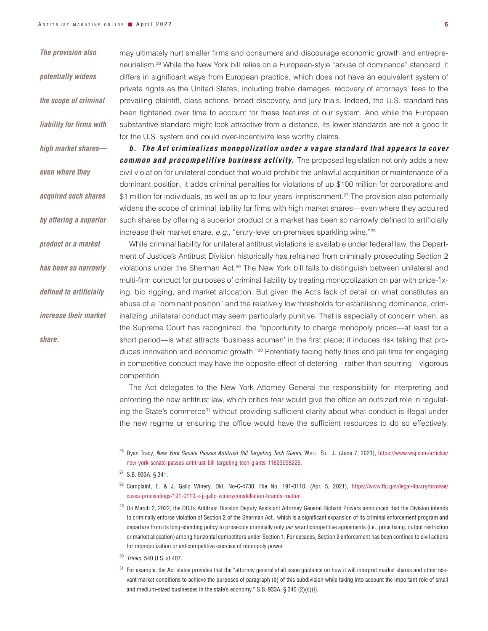*The provision also* 

*the scope of criminal* 

*liability for firms with* 

*high market shares—*

*acquired such shares* 

*by offering a superior* 

*product or a market* 

*has been so narrowly* 

*defined to artificially* 

*increase their market* 

*share.*

*even where they* 

*potentially widens* 

may ultimately hurt smaller firms and consumers and discourage economic growth and entrepreneurialism.26 While the New York bill relies on a European-style "abuse of dominance" standard, it differs in significant ways from European practice, which does not have an equivalent system of private rights as the United States, including treble damages, recovery of attorneys' fees to the prevailing plaintiff, class actions, broad discovery, and jury trials. Indeed, the U.S. standard has been tightened over time to account for these features of our system. And while the European substantive standard might look attractive from a distance, its lower standards are not a good fit for the U.S. system and could over-incentivize less worthy claims.

*b. The Act criminalizes monopolization under a vague standard that appears to cover common and procompetitive business activity.* The proposed legislation not only adds a new civil violation for unilateral conduct that would prohibit the unlawful acquisition or maintenance of a dominant position, it adds criminal penalties for violations of up \$100 million for corporations and \$1 million for individuals, as well as up to four years' imprisonment.<sup>27</sup> The provision also potentially widens the scope of criminal liability for firms with high market shares—even where they acquired such shares by offering a superior product or a market has been so narrowly defined to artificially increase their market share, *e.g*., "entry-level on-premises sparkling wine."28

While criminal liability for unilateral antitrust violations is available under federal law, the Department of Justice's Antitrust Division historically has refrained from criminally prosecuting Section 2 violations under the Sherman Act.29 The New York bill fails to distinguish between unilateral and multi-firm conduct for purposes of criminal liability by treating monopolization on par with price-fixing, bid rigging, and market allocation. But given the Act's lack of detail on what constitutes an abuse of a "dominant position" and the relatively low thresholds for establishing dominance, criminalizing unilateral conduct may seem particularly punitive. That is especially of concern when, as the Supreme Court has recognized, the "opportunity to charge monopoly prices—at least for a short period—is what attracts 'business acumen' in the first place; it induces risk taking that produces innovation and economic growth."30 Potentially facing hefty fines and jail time for engaging in competitive conduct may have the opposite effect of deterring—rather than spurring—vigorous competition.

The Act delegates to the New York Attorney General the responsibility for interpreting and enforcing the new antitrust law, which critics fear would give the office an outsized role in regulating the State's commerce<sup>31</sup> without providing sufficient clarity about what conduct is illegal under the new regime or ensuring the office would have the sufficient resources to do so effectively.

<sup>30</sup> *Trinko*, 540 U.S. at 407.

<sup>&</sup>lt;sup>26</sup> Ryan Tracy, *New York Senate Passes Antitrust Bill Targeting Tech Giants*, WALL ST. J. (June 7, 2021), https://www.wsj.com/articles/ new-york-senate-passes-antitrust-bill-targeting-tech-giants-11623098225.

<sup>27</sup> S.B. 933A, § 341.

<sup>28</sup> Complaint, E. & J. Gallo Winery, Dkt. No-C-4730, File No. 191-0110, (Apr. 5, 2021), https://www.ftc.gov/legal-library/browse/ cases-proceedings/191-0110-e-j-gallo-wineryconstellation-brands-matter.

<sup>&</sup>lt;sup>29</sup> On March 2, 2022, the DOJ's Antitrust Division Deputy Assistant Attorney General Richard Powers announced that the Division intends to criminally enforce violation of Section 2 of the Sherman Act., which is a significant expansion of its criminal enforcement program and departure from its long-standing policy to prosecute criminally only *per se* anticompetitive agreements (i.e., price fixing, output restriction or market allocation) among horizontal competitors under Section 1. For decades, Section 2 enforcement has been confined to civil actions for monopolization or anticompetitive exercise of monopoly power.

 $31$  For example, the Act states provides that the "attorney general shall issue guidance on how it will interpret market shares and other relevant market conditions to achieve the purposes of paragraph (b) of this subdivision while taking into account the important role of small and medium-sized businesses in the state's economy." S.B. 933A, § 340 (2)(c)(i).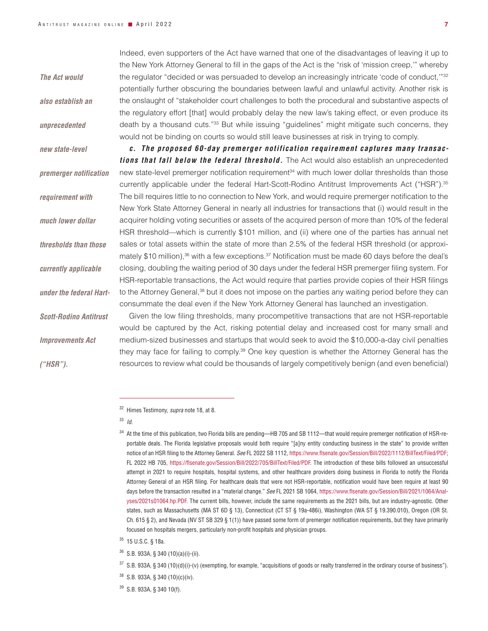*also establish an unprecedented new state-level premerger notification requirement with much lower dollar thresholds than those currently applicable under the federal Hart-Scott-Rodino Antitrust Improvements Act ("HSR").*

*The Act would* 

Indeed, even supporters of the Act have warned that one of the disadvantages of leaving it up to the New York Attorney General to fill in the gaps of the Act is the "risk of 'mission creep,'" whereby the regulator "decided or was persuaded to develop an increasingly intricate 'code of conduct,'"32 potentially further obscuring the boundaries between lawful and unlawful activity. Another risk is the onslaught of "stakeholder court challenges to both the procedural and substantive aspects of the regulatory effort [that] would probably delay the new law's taking effect, or even produce its death by a thousand cuts."33 But while issuing "guidelines" might mitigate such concerns, they would not be binding on courts so would still leave businesses at risk in trying to comply.

*c. The proposed 60-day premerger notification requirement captures many transactions that fall below the federal threshold.* The Act would also establish an unprecedented new state-level premerger notification requirement<sup>34</sup> with much lower dollar thresholds than those currently applicable under the federal Hart-Scott-Rodino Antitrust Improvements Act ("HSR").35 The bill requires little to no connection to New York, and would require premerger notification to the New York State Attorney General in nearly all industries for transactions that (i) would result in the acquirer holding voting securities or assets of the acquired person of more than 10% of the federal HSR threshold—which is currently \$101 million, and (ii) where one of the parties has annual net sales or total assets within the state of more than 2.5% of the federal HSR threshold (or approximately \$10 million), $36$  with a few exceptions. $37$  Notification must be made 60 days before the deal's closing, doubling the waiting period of 30 days under the federal HSR premerger filing system. For HSR-reportable transactions, the Act would require that parties provide copies of their HSR filings to the Attorney General,<sup>38</sup> but it does not impose on the parties any waiting period before they can consummate the deal even if the New York Attorney General has launched an investigation.

Given the low filing thresholds, many procompetitive transactions that are not HSR-reportable would be captured by the Act, risking potential delay and increased cost for many small and medium-sized businesses and startups that would seek to avoid the \$10,000-a-day civil penalties they may face for failing to comply.39 One key question is whether the Attorney General has the resources to review what could be thousands of largely competitively benign (and even beneficial)

<sup>33</sup> *Id*.

<sup>32</sup> Himes Testimony, *supra* note 18, at 8.

<sup>34</sup> At the time of this publication, two Florida bills are pending—HB 705 and SB 1112—that would require premerger notification of HSR-reportable deals. The Florida legislative proposals would both require "[a]ny entity conducting business in the state" to provide written notice of an HSR filing to the Attorney General. *See* FL 2022 SB 1112, [https://www.flsenate.gov/Session/Bill/2022/1112/BillText/Filed/PDF;](https://www.flsenate.gov/Session/Bill/2022/1112/BillText/Filed/PDF) FL 2022 HB 705, <https://flsenate.gov/Session/Bill/2022/705/BillText/Filed/PDF>. The introduction of these bills followed an unsuccessful attempt in 2021 to require hospitals, hospital systems, and other healthcare providers doing business in Florida to notify the Florida Attorney General of an HSR filing. For healthcare deals that were not HSR-reportable, notification would have been require at least 90 days before the transaction resulted in a "material change." *See* FL 2021 SB 1064, [https://www.flsenate.gov/Session/Bill/2021/1064/Anal](https://www.flsenate.gov/Session/Bill/2021/1064/Analyses/2021s01064.hp.PDF)[yses/2021s01064.hp.PDF.](https://www.flsenate.gov/Session/Bill/2021/1064/Analyses/2021s01064.hp.PDF) The current bills, however, include the same requirements as the 2021 bills, but are industry-agnostic. Other states, such as Massachusetts (MA ST 6D § 13), Connecticut (CT ST § 19a-486i), Washington (WA ST § 19.390.010), Oregon (OR St. Ch. 615 § 2), and Nevada (NV ST SB 329 § 1(1)) have passed some form of premerger notification requirements, but they have primarily focused on hospitals mergers, particularly non-profit hospitals and physician groups.

<sup>35</sup> 15 U.S.C. § 18a.

<sup>36</sup> S.B. 933A, § 340 (10)(a)(i)-(ii).

 $37$  S.B. 933A, § 340 (10)(d)(i)-(v) (exempting, for example, "acquisitions of goods or realty transferred in the ordinary course of business").

<sup>38</sup> S.B. 933A, § 340 (10)(c)(iv).

<sup>39</sup> S.B. 933A, § 340 10(f).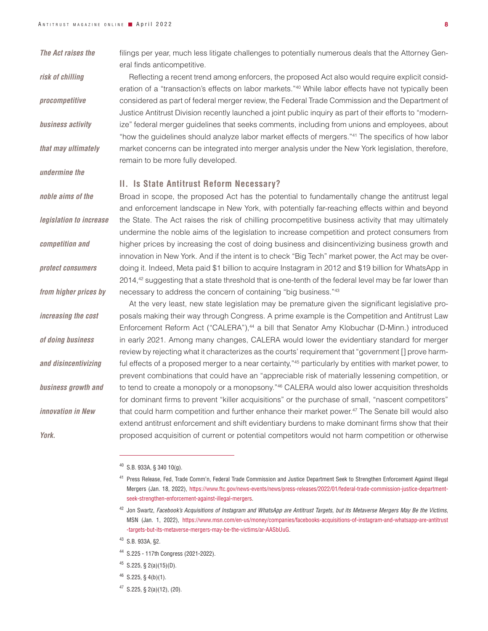*The Act raises the* 

*risk of chilling* 

*procompetitive* 

*business activity* 

*that may ultimately* 

*undermine the* 

*noble aims of the* 

*legislation to increase* 

*competition and* 

*protect consumers* 

*from higher prices by* 

*increasing the cost* 

*of doing business* 

*and disincentivizing business growth and* 

*innovation in New* 

*York.*

filings per year, much less litigate challenges to potentially numerous deals that the Attorney General finds anticompetitive.

Reflecting a recent trend among enforcers, the proposed Act also would require explicit consideration of a "transaction's effects on labor markets."40 While labor effects have not typically been considered as part of federal merger review, the Federal Trade Commission and the Department of Justice Antitrust Division recently launched a joint public inquiry as part of their efforts to "modernize" federal merger guidelines that seeks comments, including from unions and employees, about "how the guidelines should analyze labor market effects of mergers."41 The specifics of how labor market concerns can be integrated into merger analysis under the New York legislation, therefore, remain to be more fully developed.

## **II. Is State Antitrust Reform Necessary?**

Broad in scope, the proposed Act has the potential to fundamentally change the antitrust legal and enforcement landscape in New York, with potentially far-reaching effects within and beyond the State. The Act raises the risk of chilling procompetitive business activity that may ultimately undermine the noble aims of the legislation to increase competition and protect consumers from higher prices by increasing the cost of doing business and disincentivizing business growth and innovation in New York. And if the intent is to check "Big Tech" market power, the Act may be overdoing it. Indeed, Meta paid \$1 billion to acquire Instagram in 2012 and \$19 billion for WhatsApp in 2014,<sup>42</sup> suggesting that a state threshold that is one-tenth of the federal level may be far lower than necessary to address the concern of containing "big business."43

At the very least, new state legislation may be premature given the significant legislative proposals making their way through Congress. A prime example is the Competition and Antitrust Law Enforcement Reform Act ("CALERA"),<sup>44</sup> a bill that Senator Amy Klobuchar (D-Minn.) introduced in early 2021. Among many changes, CALERA would lower the evidentiary standard for merger review by rejecting what it characterizes as the courts' requirement that "government [] prove harmful effects of a proposed merger to a near certainty,"<sup>45</sup> particularly by entities with market power, to prevent combinations that could have an "appreciable risk of materially lessening competition, or to tend to create a monopoly or a monopsony."<sup>46</sup> CALERA would also lower acquisition thresholds for dominant firms to prevent "killer acquisitions" or the purchase of small, "nascent competitors" that could harm competition and further enhance their market power.47 The Senate bill would also extend antitrust enforcement and shift evidentiary burdens to make dominant firms show that their proposed acquisition of current or potential competitors would not harm competition or otherwise

- <sup>43</sup> S.B. 933A, §2.
- <sup>44</sup> S.225 117th Congress (2021-2022).
- $45$  S.225, § 2(a)(15)(D).
- $46$  S.225, § 4(b)(1).
- <sup>47</sup> S.225, § 2(a)(12), (20).

<sup>40</sup> S.B. 933A, § 340 10(g).

<sup>41</sup> Press Release, Fed, Trade Comm'n, Federal Trade Commission and Justice Department Seek to Strengthen Enforcement Against Illegal Mergers (Jan. 18, 2022), https://www.ftc.gov/news-events/news/press-releases/2022/01/federal-trade-commission-justice-departmentseek-strengthen-enforcement-against-illegal-mergers.

<sup>42</sup> Jon Swartz, *Facebook's Acquisitions of Instagram and WhatsApp are Antitrust Targets, but its Metaverse Mergers May Be the Victims*, MSN (Jan. 1, 2022), [https://www.msn.com/en-us/money/companies/facebooks-acquisitions-of-instagram-and-whatsapp-are-antitrust](https://www.msn.com/en-us/money/companies/facebooks-acquisitions-of-instagram-and-whatsapp-are-antitrust-targets-but-its-metaverse-mergers-may-be-the-victims/ar-AASbUuG) [-targets-but-its-metaverse-mergers-may-be-the-victims/ar-AASbUuG.](https://www.msn.com/en-us/money/companies/facebooks-acquisitions-of-instagram-and-whatsapp-are-antitrust-targets-but-its-metaverse-mergers-may-be-the-victims/ar-AASbUuG)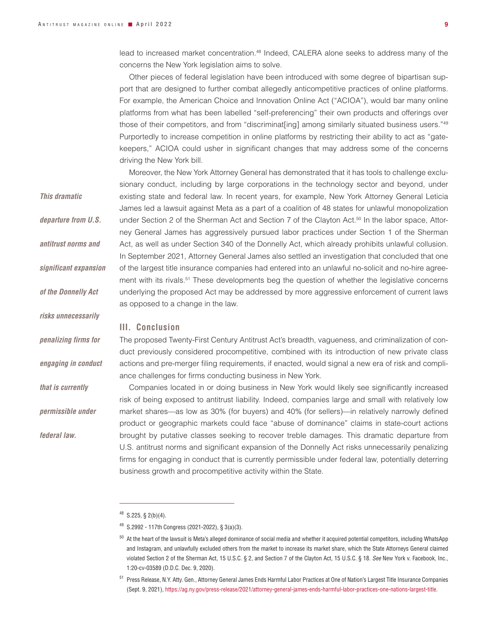lead to increased market concentration.48 Indeed, CALERA alone seeks to address many of the concerns the New York legislation aims to solve.

Other pieces of federal legislation have been introduced with some degree of bipartisan support that are designed to further combat allegedly anticompetitive practices of online platforms. For example, the American Choice and Innovation Online Act ("ACIOA"), would bar many online platforms from what has been labelled "self-preferencing" their own products and offerings over those of their competitors, and from "discriminat [ing] among similarly situated business users."<sup>49</sup> Purportedly to increase competition in online platforms by restricting their ability to act as "gatekeepers," ACIOA could usher in significant changes that may address some of the concerns driving the New York bill.

Moreover, the New York Attorney General has demonstrated that it has tools to challenge exclusionary conduct, including by large corporations in the technology sector and beyond, under existing state and federal law. In recent years, for example, New York Attorney General Leticia James led a lawsuit against Meta as a part of a coalition of 48 states for unlawful monopolization under Section 2 of the Sherman Act and Section 7 of the Clayton Act.<sup>50</sup> In the labor space, Attorney General James has aggressively pursued labor practices under Section 1 of the Sherman Act, as well as under Section 340 of the Donnelly Act, which already prohibits unlawful collusion. In September 2021, Attorney General James also settled an investigation that concluded that one of the largest title insurance companies had entered into an unlawful no-solicit and no-hire agreement with its rivals.<sup>51</sup> These developments beg the question of whether the legislative concerns underlying the proposed Act may be addressed by more aggressive enforcement of current laws

*This dramatic departure from U.S.* 

*antitrust norms and* 

*significant expansion* 

- *of the Donnelly Act*
- 

*risks unnecessarily* 

*penalizing firms for* 

*engaging in conduct* 

*that is currently* 

*permissible under* 

*federal law.*

### **III. Conclusion**

as opposed to a change in the law.

The proposed Twenty-First Century Antitrust Act's breadth, vagueness, and criminalization of conduct previously considered procompetitive, combined with its introduction of new private class actions and pre-merger filing requirements, if enacted, would signal a new era of risk and compliance challenges for firms conducting business in New York.

Companies located in or doing business in New York would likely see significantly increased risk of being exposed to antitrust liability. Indeed, companies large and small with relatively low market shares—as low as 30% (for buyers) and 40% (for sellers)—in relatively narrowly defined product or geographic markets could face "abuse of dominance" claims in state-court actions brought by putative classes seeking to recover treble damages. This dramatic departure from U.S. antitrust norms and significant expansion of the Donnelly Act risks unnecessarily penalizing firms for engaging in conduct that is currently permissible under federal law, potentially deterring business growth and procompetitive activity within the State.

 $48$  S.225, § 2(b)(4).

 $49$  S.2992 - 117th Congress (2021-2022), § 3(a)(3).

 $50$  At the heart of the lawsuit is Meta's alleged dominance of social media and whether it acquired potential competitors, including WhatsApp and Instagram, and unlawfully excluded others from the market to increase its market share, which the State Attorneys General claimed violated Section 2 of the Sherman Act, 15 U.S.C. § 2, and Section 7 of the Clayton Act, 15 U.S.C. § 18. *See* New York v. Facebook, Inc., 1:20-cv-03589 (D.D.C. Dec. 9, 2020).

<sup>51</sup> Press Release, N.Y. Atty. Gen., Attorney General James Ends Harmful Labor Practices at One of Nation's Largest Title Insurance Companies (Sept. 9, 2021), https://ag.ny.gov/press-release/2021/attorney-general-james-ends-harmful-labor-practices-one-nations-largest-title.